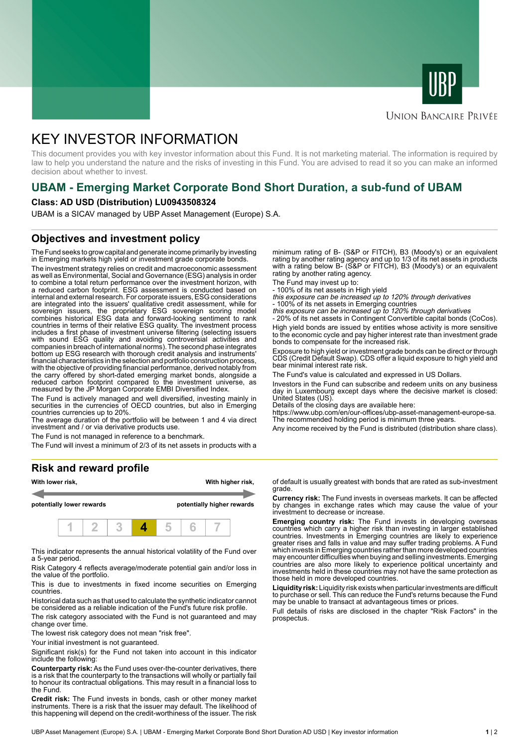



#### **UNION BANCAIRE PRIVÉE**

# KEY INVESTOR INFORMATION

This document provides you with key investor information about this Fund. It is not marketing material. The information is required by law to help you understand the nature and the risks of investing in this Fund. You are advised to read it so you can make an informed decision about whether to invest.

## **UBAM - Emerging Market Corporate Bond Short Duration, a sub-fund of UBAM**

#### **Class: AD USD (Distribution) LU0943508324**

UBAM is a SICAV managed by UBP Asset Management (Europe) S.A.

### **Objectives and investment policy**

The Fund seeks to grow capital and generate income primarily by investing in Emerging markets high yield or investment grade corporate bonds.

The investment strategy relies on credit and macroeconomic assessment as well as Environmental, Social and Governance (ESG) analysis in order to combine a total return performance over the investment horizon, with a reduced carbon footprint. ESG assessment is conducted based on internal and external research. For corporate issuers, ESG considerations are integrated into the issuers' qualitative credit assessment, while for sovereign issuers, the proprietary ESG sovereign scoring model combines historical ESG data and forward-looking sentiment to rank countries in terms of their relative ESG quality. The investment process includes a first phase of investment universe filtering (selecting issuers with sound ESG quality and avoiding controversial activities and companies in breach of international norms). The second phase integrates bottom up ESG research with thorough credit analysis and instruments' financial characteristics in the selection and portfolio construction process, with the objective of providing financial performance, derived notably from the carry offered by short-dated emerging market bonds, alongside a reduced carbon footprint compared to the investment universe, as measured by the JP Morgan Corporate EMBI Diversified Index.

The Fund is actively managed and well diversified, investing mainly in securities in the currencies of OECD countries, but also in Emerging countries currencies up to 20%.

The average duration of the portfolio will be between 1 and 4 via direct investment and / or via derivative products use.

The Fund is not managed in reference to a benchmark.

The Fund will invest a minimum of 2/3 of its net assets in products with a

#### **Risk and reward profile**



This indicator represents the annual historical volatility of the Fund over a 5-year period.

Risk Category 4 reflects average/moderate potential gain and/or loss in the value of the portfolio.

This is due to investments in fixed income securities on Emerging countries.

Historical data such as that used to calculate the synthetic indicator cannot be considered as a reliable indication of the Fund's future risk profile.

The risk category associated with the Fund is not guaranteed and may change over time.

The lowest risk category does not mean "risk free".

Your initial investment is not guaranteed.

Significant risk(s) for the Fund not taken into account in this indicator include the following:

**Counterparty risk:** As the Fund uses over-the-counter derivatives, there is a risk that the counterparty to the transactions will wholly or partially fail to honour its contractual obligations. This may result in a financial loss to the Fund.

**Credit risk:** The Fund invests in bonds, cash or other money market instruments. There is a risk that the issuer may default. The likelihood of this happening will depend on the credit-worthiness of the issuer. The risk

minimum rating of B- (S&P or FITCH), B3 (Moody's) or an equivalent rating by another rating agency and up to 1/3 of its net assets in products with a rating below B- (S&P or FITCH), B3 (Moody's) or an equivalent rating by another rating agency.

The Fund may invest up to:

- 100% of its net assets in High yield this exposure can be increased up to 120% through derivatives

- 100% of its net assets in Emerging countries<br>*this exposure can be increased up to 120% through derivatives*<br>- 20% of its net assets in Contingent Convertible capital bonds (CoCos).

High yield bonds are issued by entities whose activity is more sensitive to the economic cycle and pay higher interest rate than investment grade bonds to compensate for the increased risk.

Exposure to high yield or investment grade bonds can be direct or through CDS (Credit Default Swap). CDS offer a liquid exposure to high yield and bear minimal interest rate risk.

The Fund's value is calculated and expressed in US Dollars.

Investors in the Fund can subscribe and redeem units on any business day in Luxembourg except days where the decisive market is closed: United States (US).

Details of the closing days are available here:

https://www.ubp.com/en/our-offices/ubp-asset-management-europe-sa. The recommended holding period is minimum three years.

Any income received by the Fund is distributed (distribution share class).

of default is usually greatest with bonds that are rated as sub-investment grade.

**Currency risk:** The Fund invests in overseas markets. It can be affected by changes in exchange rates which may cause the value of your investment to decrease or increase.

**Emerging country risk:** The Fund invests in developing overseas countries which carry a higher risk than investing in larger established countries. Investments in Emerging countries are likely to experience greater rises and falls in value and may suffer trading problems. A Fund which invests in Emerging countries rather than more developed countries may encounter difficulties when buying and selling investments. Emerging countries are also more likely to experience political uncertainty and investments held in these countries may not have the same protection as those held in more developed countries.

**Liquidity risk:** Liquidity risk exists when particular investments are difficult to purchase or sell. This can reduce the Fund's returns because the Fund may be unable to transact at advantageous times or prices.

Full details of risks are disclosed in the chapter "Risk Factors" in the prospectus.